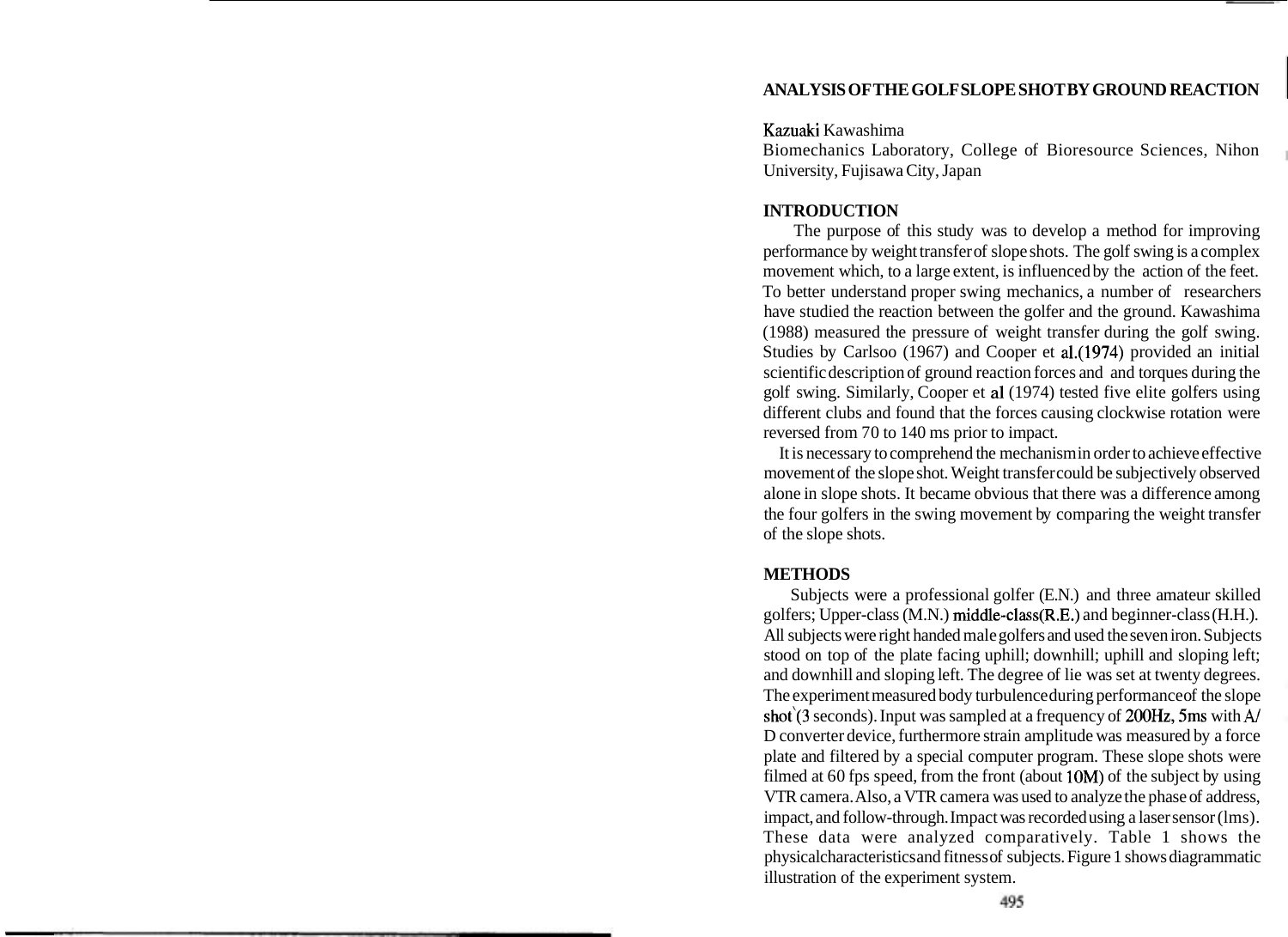# **ANALYSIS OF THE GOLF SLOPE SHOT BY GROUND REACTION**

#### Kazuaki Kawashima

Biomechanics Laboratory, College of Bioresource Sciences, Nihon University, Fujisawa City, Japan

# **INTRODUCTION**

The purpose of this study was to develop a method for improving performance by weight transfer of slope shots. The golf swing is a complex movement which, to a large extent, is influenced by the action of the feet. To better understand proper swing mechanics, a number of researchers have studied the reaction between the golfer and the ground. Kawashima (1988) measured the pressure of weight transfer during the golf swing. Studies by Carlsoo (1967) and Cooper et a1.(1974) provided an initial scientific description of ground reaction forces and and torques during the golf swing. Similarly, Cooper et a1 (1974) tested five elite golfers using different clubs and found that the forces causing clockwise rotation were reversed from 70 to 140 ms prior to impact.

It is necessary to comprehend the mechanism in order to achieve effective movement of the slope shot. Weight transfer could be subjectively observed alone in slope shots. It became obvious that there was a difference among the four golfers in the swing movement by comparing the weight transfer of the slope shots.

#### **METHODS**

Subjects were a professional golfer (E.N.) and three amateur skilled golfers; Upper-class (M.N.) middle-class(R.E.) and beginner-class (H.H.). All subjects were right handed male golfers and used the seven iron. Subjects stood on top of the plate facing uphill; downhill; uphill and sloping left; and downhill and sloping left. The degree of lie was set at twenty degrees. The experiment measured body turbulence during performance of the slope shot<sup>'</sup>(3 seconds). Input was sampled at a frequency of 200Hz, 5ms with A/ D converter device, furthermore strain amplitude was measured by a force plate and filtered by a special computer program. These slope shots were filmed at 60 fps speed, from the front (about 10M) of the subject by using VTR camera. Also, a VTR camera was used to analyze the phase of address, impact, and follow-through. Impact was recorded using a laser sensor (lms). These data were analyzed comparatively. Table 1 shows the physicalcharacteristics and fitness of subjects. Figure 1 shows diagrammatic illustration of the experiment system.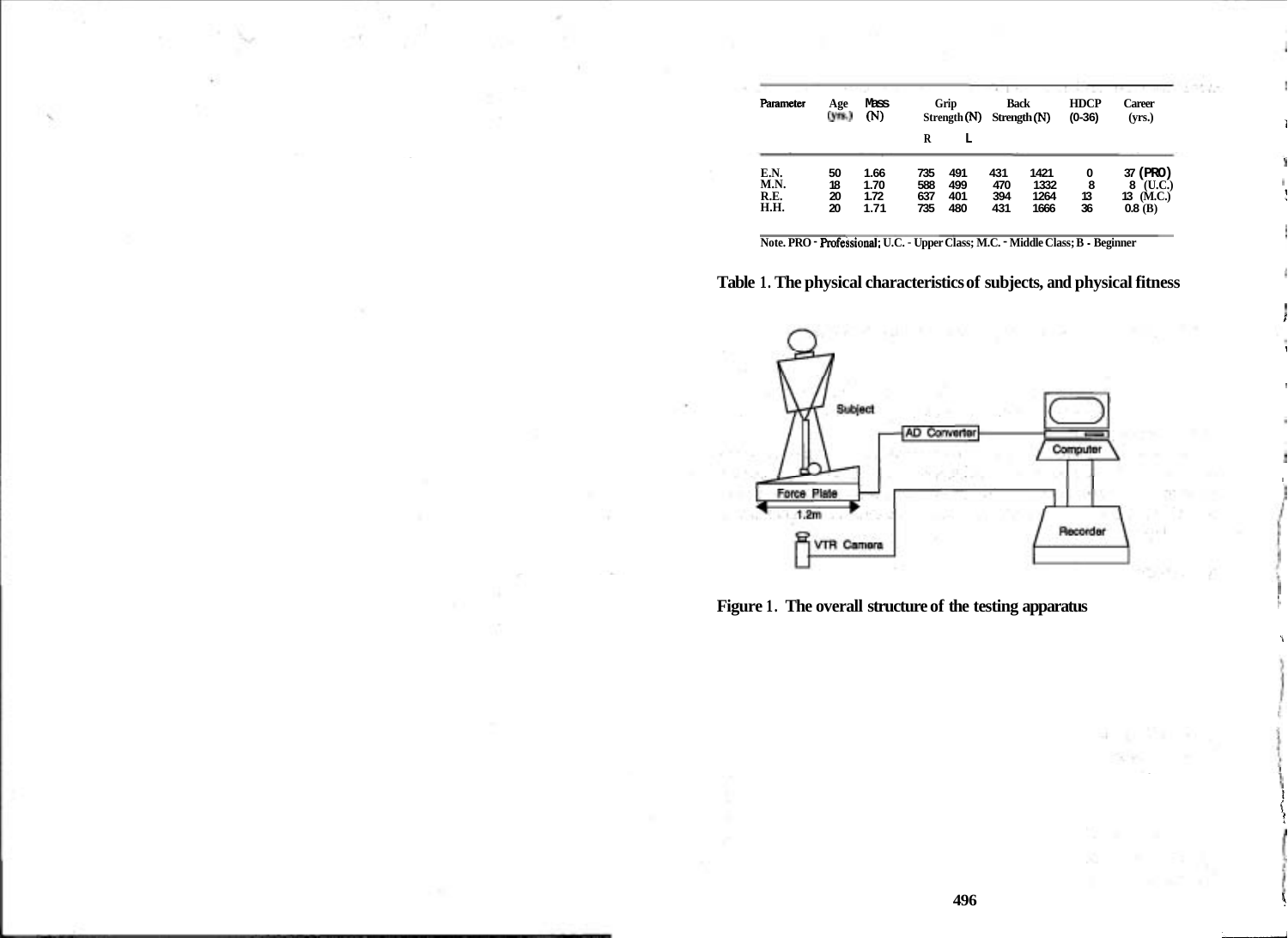| Parameter                           | Age                  | Mass<br>(N)                  | Grip                     |                          | <b>Back</b>              |                              | <b>HDCP</b>        | Career                                                 |
|-------------------------------------|----------------------|------------------------------|--------------------------|--------------------------|--------------------------|------------------------------|--------------------|--------------------------------------------------------|
|                                     | (ym.)                |                              | R                        | Strength $(N)$<br>L      |                          | Strength (N)                 | $(0-36)$           | (yrs.)                                                 |
| E.N.<br>M.N.<br>R.E.<br><b>H.H.</b> | 50<br>18<br>20<br>20 | 1.66<br>1.70<br>1.72<br>1.71 | 735<br>588<br>637<br>735 | 491<br>499<br>401<br>480 | 431<br>470<br>394<br>431 | 1421<br>1332<br>1264<br>1666 | 0<br>8<br>13<br>36 | 37 (PRO)<br>$($ U.C. $)$<br>8<br>13 $(M.C.)$<br>0.8(B) |

 $1 - 4 + 1 -$ 

**Note. PRO** - **Rofessional; U.C.** - **Upper Class; M.C.** - **Middle Class; B** - **Beginner** 





**Figure 1. The overall structure of the testing apparatus** 

alist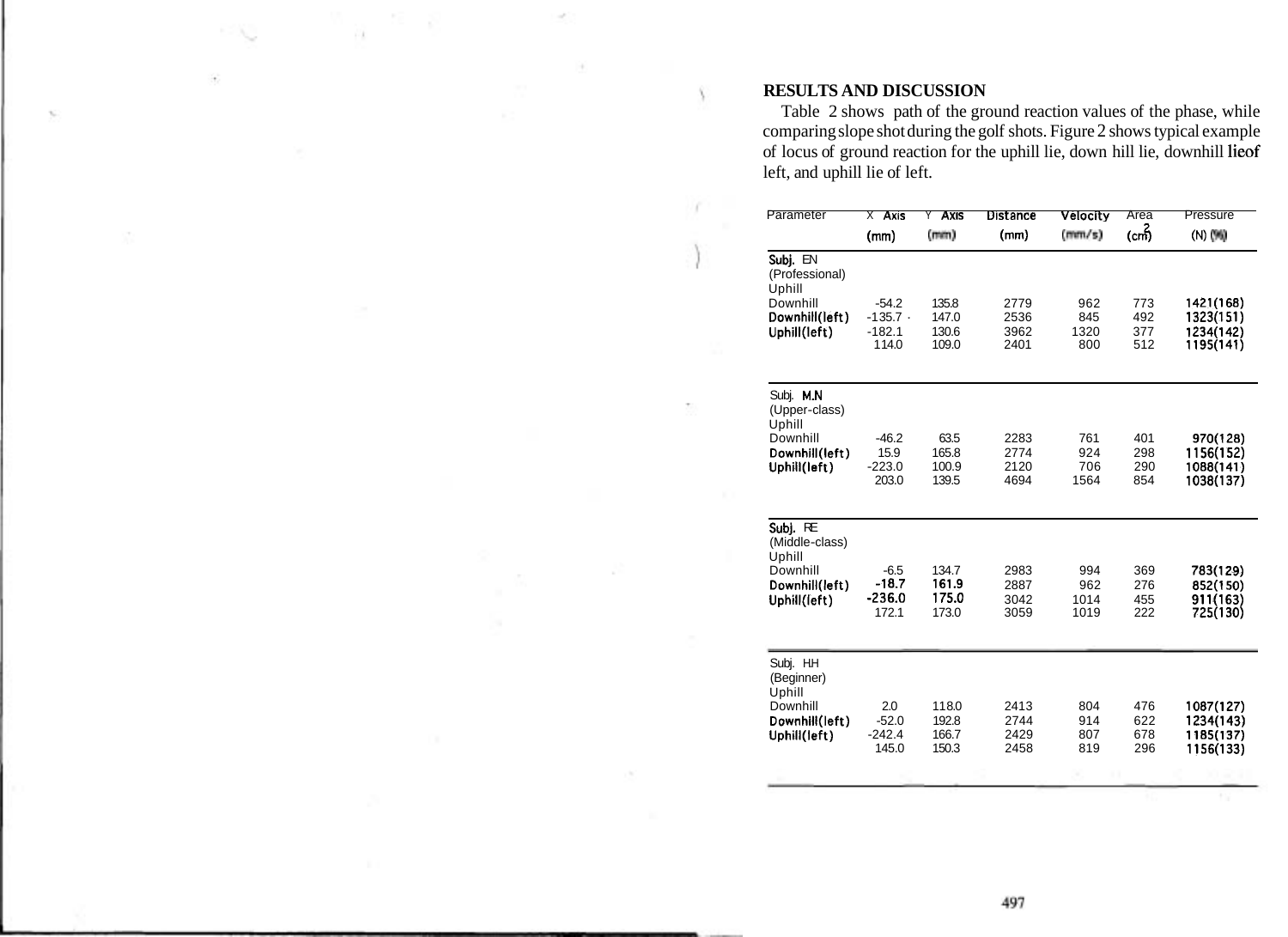### **RESULTS AND DISCUSSION**

Ÿ,

Table 2 shows path of the ground reaction values of the phase, while comparing slope shot during the golf shots. Figure 2 shows typical example of locus of ground reaction for the uphill lie, down hill lie, downhill lieof left, and uphill lie of left.

| Parameter                                                                          | $X$ Axis                                 | <b>Axis</b><br>Y                 | <b>Distance</b>              | Velocity                   | Area                     | Pressure                                         |
|------------------------------------------------------------------------------------|------------------------------------------|----------------------------------|------------------------------|----------------------------|--------------------------|--------------------------------------------------|
|                                                                                    | (mm)                                     | (mm)                             | (mm)                         | (mm/s)                     | (cm)်                    | (N) (N)                                          |
| Subj. EN<br>(Professional)<br>Uphill                                               |                                          |                                  |                              |                            |                          |                                                  |
| Downhill<br>Downhill(left)<br>Uphill(left)                                         | $-54.2$<br>$-135.7$<br>$-182.1$<br>114.0 | 135.8<br>147.0<br>130.6<br>109.0 | 2779<br>2536<br>3962<br>2401 | 962<br>845<br>1320<br>800  | 773<br>492<br>377<br>512 | 1421(168)<br>1323(151)<br>1234(142)<br>1195(141) |
| Subj. M.N.                                                                         |                                          |                                  |                              |                            |                          |                                                  |
| (Upper-class)<br>Uphill<br>Downhill<br>Downhill(left)<br>Uphill(left)              | $-46.2$<br>15.9<br>$-223.0$<br>203.0     | 63.5<br>165.8<br>100.9<br>139.5  | 2283<br>2774<br>2120<br>4694 | 761<br>924<br>706<br>1564  | 401<br>298<br>290<br>854 | 970(128)<br>1156(152)<br>1088(141)<br>1038(137)  |
| Subj. RE<br>(Middle-class)<br>Uphill<br>Downhill<br>Downhill(left)<br>Uphill(left) | $-6.5$<br>$-18.7$<br>$-236.0$<br>172.1   | 134.7<br>161.9<br>175.0<br>173.0 | 2983<br>2887<br>3042<br>3059 | 994<br>962<br>1014<br>1019 | 369<br>276<br>455<br>222 | 783(129)<br>852(150)<br>911(163)<br>725(130)     |
| Subj. H.H.<br>(Beginner)<br>Uphill<br>Downhill<br>Downhill(left)<br>Uphill(left)   | 2.0<br>$-52.0$<br>$-242.4$<br>145.0      | 118.0<br>192.8<br>166.7<br>150.3 | 2413<br>2744<br>2429<br>2458 | 804<br>914<br>807<br>819   | 476<br>622<br>678<br>296 | 1087(127)<br>1234(143)<br>1185(137)<br>1156(133) |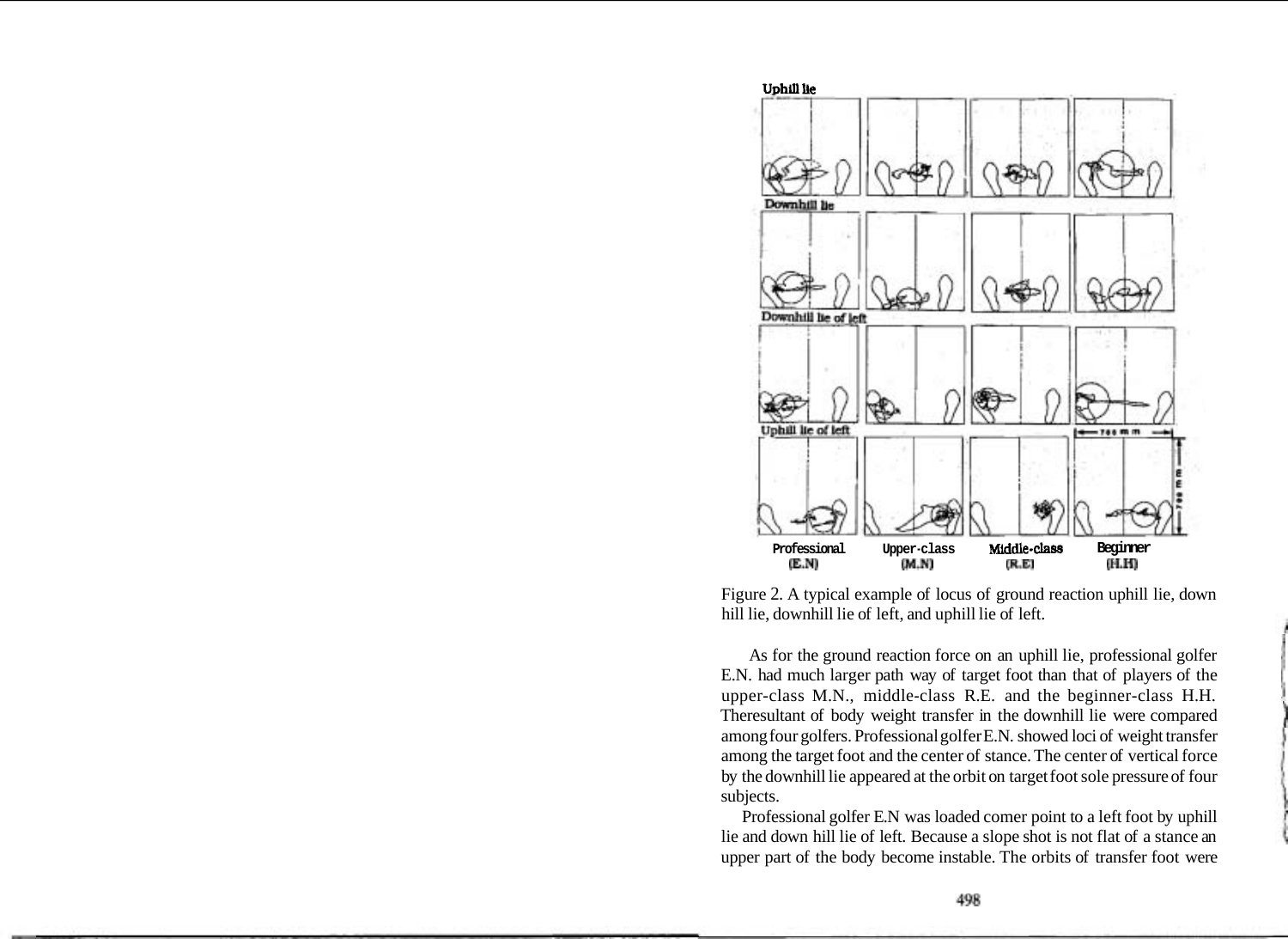

Figure 2. A typical example of locus of ground reaction uphill lie, down hill lie, downhill lie of left, and uphill lie of left.

As for the ground reaction force on an uphill lie, professional golfer E.N. had much larger path way of target foot than that of players of the upper-class M.N., middle-class R.E. and the beginner-class H.H. Theresultant of body weight transfer in the downhill lie were compared among four golfers. Professional golfer E.N. showed loci of weight transfer among the target foot and the center of stance. The center of vertical force by the downhill lie appeared at the orbit on target foot sole pressure of four subjects.

Professional golfer E.N was loaded comer point to a left foot by uphill lie and down hill lie of left. Because a slope shot is not flat of a stance an upper part of the body become instable. The orbits of transfer foot were